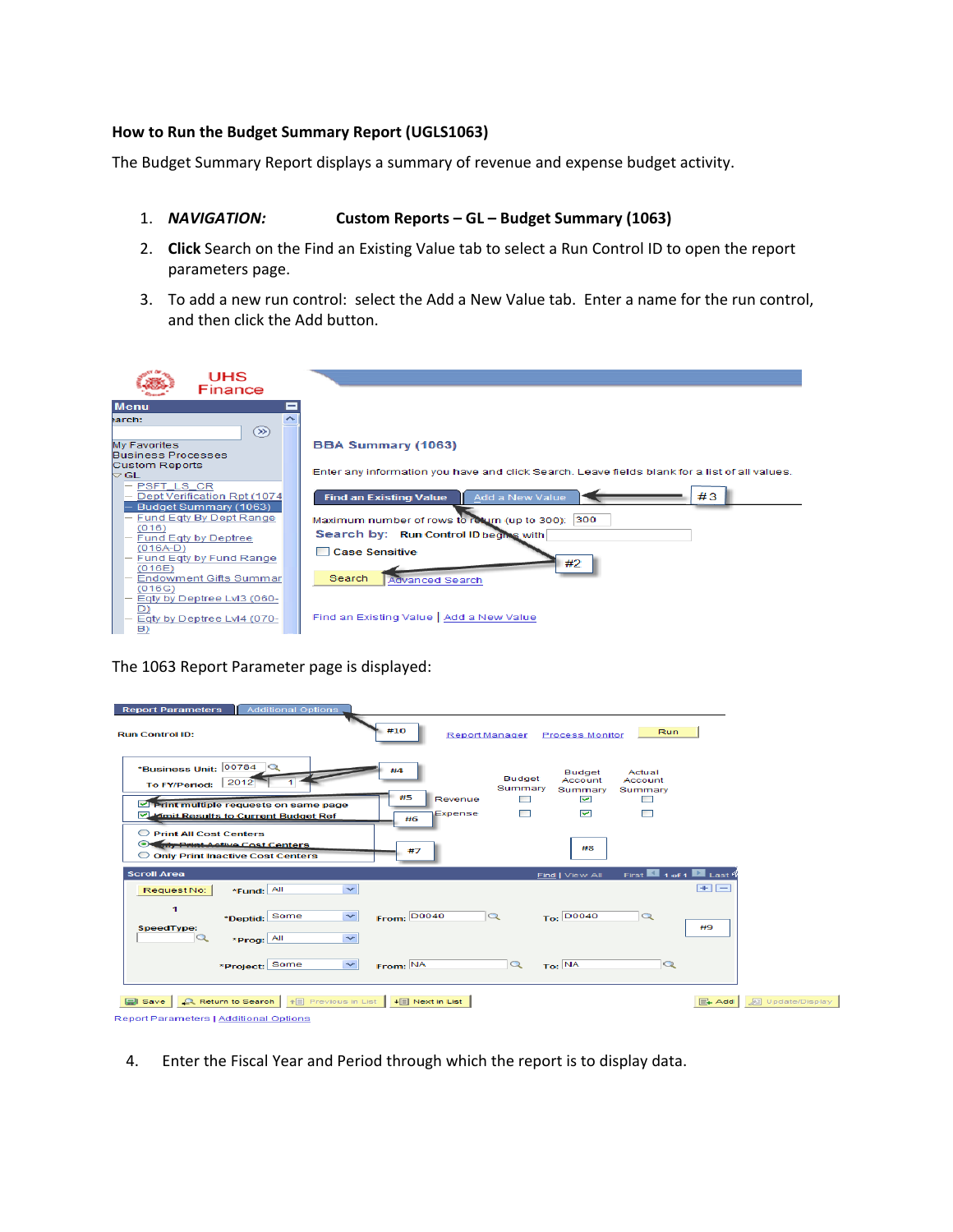### **How to Run the Budget Summary Report (UGLS1063)**

The Budget Summary Report displays a summary of revenue and expense budget activity.

#### 1. *NAVIGATION:* **Custom Reports – GL – Budget Summary (1063)**

- 2. **Click** Search on the Find an Existing Value tab to select a Run Control ID to open the report parameters page.
- 3. To add a new run control: select the Add a New Value tab. Enter a name for the run control, and then click the Add button.

| UHS<br>Finance                                                |                                                                                               |
|---------------------------------------------------------------|-----------------------------------------------------------------------------------------------|
| <b>Menu</b>                                                   |                                                                                               |
| earch:                                                        |                                                                                               |
| $\circledast$                                                 |                                                                                               |
| <b>My Favorites</b>                                           | <b>BBA Summary (1063)</b>                                                                     |
| <b>Business Processes</b>                                     |                                                                                               |
| <b>Custom Reports</b><br>$\mathbin{\vartriangle} \mathsf{GL}$ | Enter any information you have and click Search. Leave fields blank for a list of all values. |
| <b>PSFT LS CR</b>                                             |                                                                                               |
| - Dept Verification Rpt (1074                                 | #3<br>Add a New Value<br><b>Find an Existing Value</b>                                        |
| Budget Summary (1063)                                         |                                                                                               |
| Fund Eqty By Dept Range<br>(016)                              | Maximum number of rows to return (up to 300): 300                                             |
| Fund Eqty by Deptree                                          | Search by: Run Control ID begins with                                                         |
| $(016A-D)$                                                    | □ Case Sensitive                                                                              |
| Fund Eqty by Fund Range                                       | #2                                                                                            |
| (016E)<br><b>Endowment Gifts Summar</b>                       | Search<br><b>Advanced Search</b>                                                              |
| (016G)                                                        |                                                                                               |
| Eqty by Deptree LvI3 (060-                                    |                                                                                               |
| D)<br>Eqty by Deptree Lvl4 (070-                              | Find an Existing Value   Add a New Value                                                      |
| B)                                                            |                                                                                               |

The 1063 Report Parameter page is displayed:

| <b>Report Parameters</b><br><b>Additional Options</b>                                                                                                |                                                                                                                                                                                                                            |
|------------------------------------------------------------------------------------------------------------------------------------------------------|----------------------------------------------------------------------------------------------------------------------------------------------------------------------------------------------------------------------------|
| <b>Run Control ID:</b>                                                                                                                               | #10<br>Run<br><b>Report Manager</b><br><b>Process Monitor</b>                                                                                                                                                              |
| 00784<br>$\circ$<br>*Business Unit:<br>2012<br><b>To FY/Period:</b><br>I Print multiple requests on same page<br>Mimit Results to Current Budget Ref | Actual<br><b>Budget</b><br><b>Budget</b><br>Account<br>Account<br>Summary<br>Summary<br>Summary<br>#5<br>$\Box$<br>$\overline{\mathbf{v}}$<br>Revenue<br>$\Box$<br>$\overline{\mathbf{v}}$<br>□<br>$\Box$<br>Expense<br>#6 |
| O Print All Cost Centers<br><b>Triv Print-Active Cost Centers</b><br>⊛<br>O Only Print Inactive Cost Centers                                         | #8<br>#7                                                                                                                                                                                                                   |
| <b>Scroll Area</b>                                                                                                                                   | First $\blacksquare$ 1 of 1 $\blacksquare$ Last 4<br>Find   View All                                                                                                                                                       |
| *Fund: All<br>Request No:<br>1<br>*Deptid: Some<br>SpeedType:<br>$\alpha$<br>*Prog: All                                                              | $\blacksquare$<br>$\checkmark$<br>$\checkmark$<br>To: D0040<br><b>From: D0040</b><br>$\alpha$<br>$\alpha$<br>#9<br>$\checkmark$                                                                                            |
| *Project: Some                                                                                                                                       | $\overline{\phantom{0}}$<br>From: NA<br>To: NA<br>$\alpha$<br>$\alpha$                                                                                                                                                     |
| Q. Return to Search   ↑   Previous in List   ↓  Next in List<br>Save                                                                                 | 见 Update/Display<br>$E_+$ Add                                                                                                                                                                                              |
| Report Parameters   Additional Options                                                                                                               |                                                                                                                                                                                                                            |

4. Enter the Fiscal Year and Period through which the report is to display data.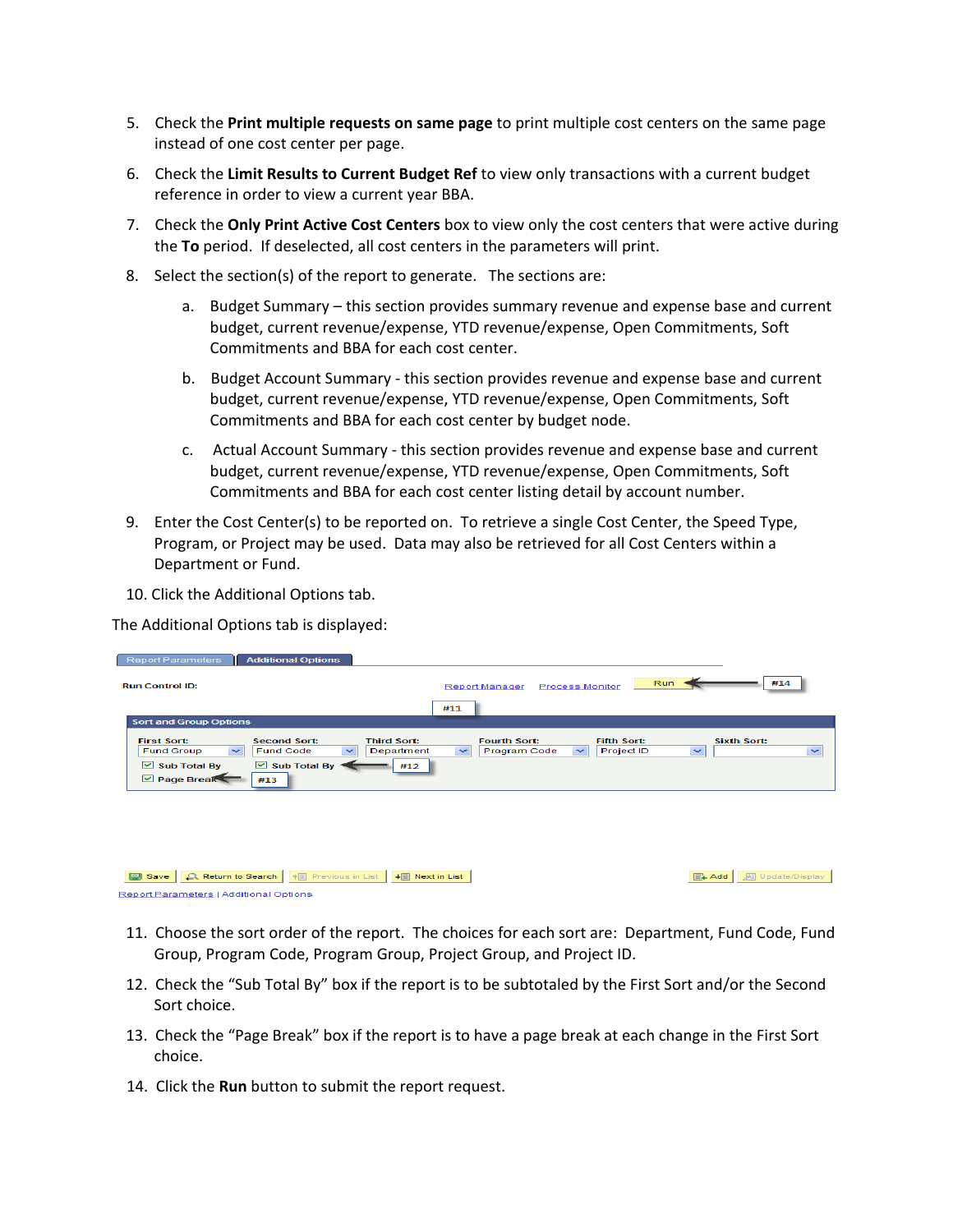- 5. Check the **Print multiple requests on same page** to print multiple cost centers on the same page instead of one cost center per page.
- 6. Check the **Limit Results to Current Budget Ref** to view only transactions with a current budget reference in order to view a current year BBA.
- 7. Check the **Only Print Active Cost Centers** box to view only the cost centers that were active during the **To** period. If deselected, all cost centers in the parameters will print.
- 8. Select the section(s) of the report to generate. The sections are:
	- a. Budget Summary this section provides summary revenue and expense base and current budget, current revenue/expense, YTD revenue/expense, Open Commitments, Soft Commitments and BBA for each cost center.
	- b. Budget Account Summary this section provides revenue and expense base and current budget, current revenue/expense, YTD revenue/expense, Open Commitments, Soft Commitments and BBA for each cost center by budget node.
	- c. Actual Account Summary this section provides revenue and expense base and current budget, current revenue/expense, YTD revenue/expense, Open Commitments, Soft Commitments and BBA for each cost center listing detail by account number.
- 9. Enter the Cost Center(s) to be reported on. To retrieve a single Cost Center, the Speed Type, Program, or Project may be used. Data may also be retrieved for all Cost Centers within a Department or Fund.
- 10. Click the Additional Options tab.

The Additional Options tab is displayed:

| <b>Report Parameters</b>                                                                                       | <b>Additional Options</b>                                                          |                                         |                                               |                        |                                  |                                    |              |
|----------------------------------------------------------------------------------------------------------------|------------------------------------------------------------------------------------|-----------------------------------------|-----------------------------------------------|------------------------|----------------------------------|------------------------------------|--------------|
| <b>Run Control ID:</b>                                                                                         |                                                                                    |                                         | <b>Report Manager</b>                         | <b>Process Monitor</b> | Run                              |                                    | #14          |
|                                                                                                                |                                                                                    |                                         | #11                                           |                        |                                  |                                    |              |
| <b>Sort and Group Options</b>                                                                                  |                                                                                    |                                         |                                               |                        |                                  |                                    |              |
| <b>First Sort:</b><br>$\checkmark$<br><b>Fund Group</b><br>$\triangleright$ Sub Total By<br>$\n  Page Break\n$ | <b>Second Sort:</b><br><b>Fund Code</b><br>$\sim$<br>$\boxdot$ Sub Total By<br>#13 | <b>Third Sort:</b><br>Department<br>#12 | <b>Fourth Sort:</b><br>Program Code<br>$\sim$ | $\sim$                 | <b>Fifth Sort:</b><br>Project ID | <b>Sixth Sort:</b><br>$\checkmark$ | $\checkmark$ |
|                                                                                                                |                                                                                    |                                         |                                               |                        |                                  |                                    |              |

Save Q. Return to Search | + | Previous in List | + | Next in List Report Parameters | Additional Options

**E+ Add D** Update/Display

- 11. Choose the sort order of the report. The choices for each sort are: Department, Fund Code, Fund Group, Program Code, Program Group, Project Group, and Project ID.
- 12. Check the "Sub Total By" box if the report is to be subtotaled by the First Sort and/or the Second Sort choice.
- 13. Check the "Page Break" box if the report is to have a page break at each change in the First Sort choice.
- 14. Click the **Run** button to submit the report request.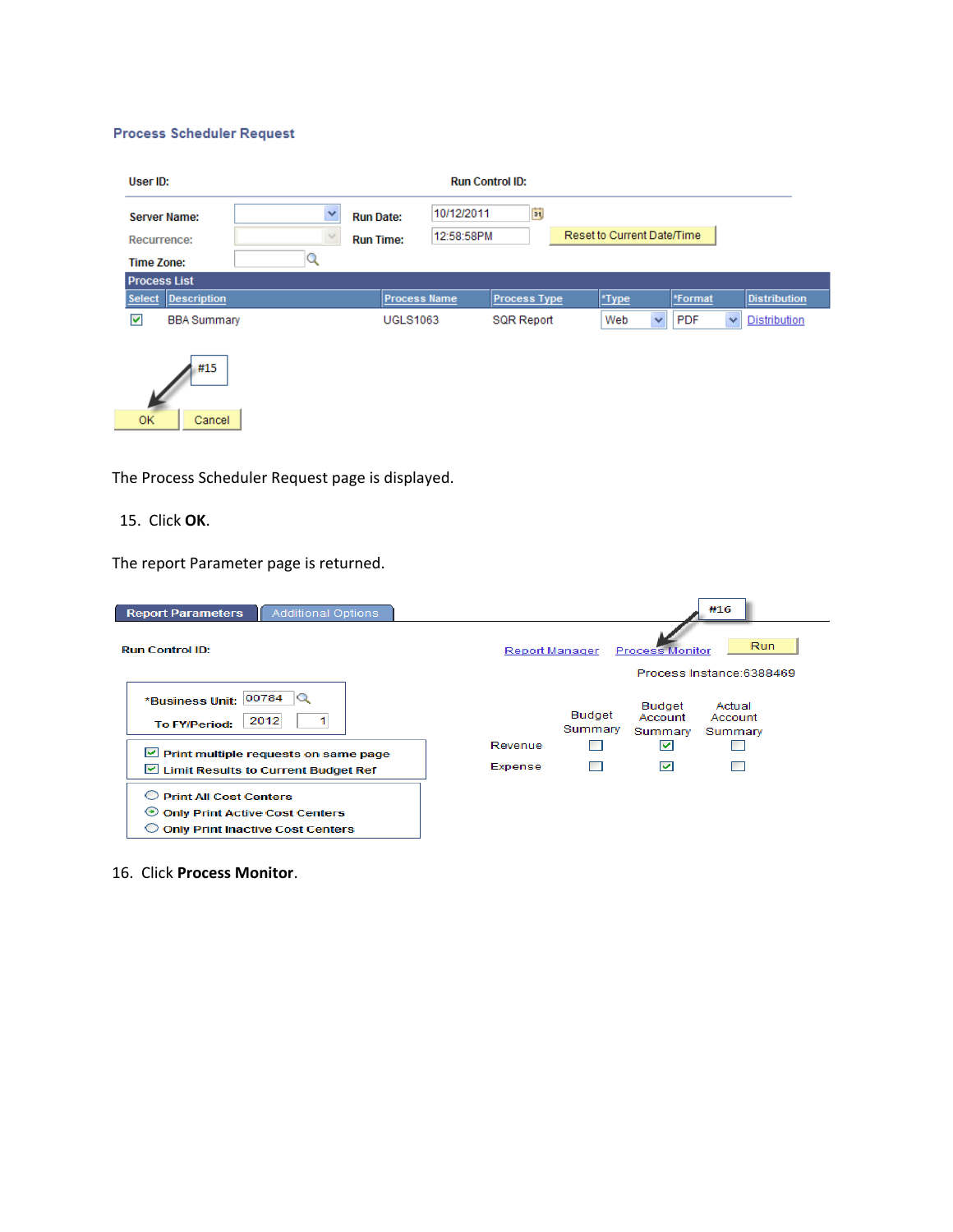#### **Process Scheduler Request**

| User ID:                                                |   |                                      | <b>Run Control ID:</b>   |                     |                            |            |                          |
|---------------------------------------------------------|---|--------------------------------------|--------------------------|---------------------|----------------------------|------------|--------------------------|
| <b>Server Name:</b><br>Recurrence:<br><b>Time Zone:</b> | v | <b>Run Date:</b><br><b>Run Time:</b> | 10/12/2011<br>12:58:58PM | 31,                 | Reset to Current Date/Time |            |                          |
| <b>Process List</b><br>Description<br><b>Select</b>     |   |                                      | <b>Process Name</b>      | <b>Process Type</b> | *Type                      | *Format    | <b>Distribution</b>      |
| ⊽<br><b>BBA Summary</b>                                 |   | <b>UGLS1063</b>                      |                          | <b>SQR Report</b>   | $\checkmark$<br>Web        | <b>PDF</b> | <b>Distribution</b><br>× |
| #15<br><b>OK</b><br>Cancel                              |   |                                      |                          |                     |                            |            |                          |

The Process Scheduler Request page is displayed.

15. Click **OK**.

The report Parameter page is returned.

| <b>Additional Options</b><br><b>Report Parameters</b>                                                        | #16                                                                                      |
|--------------------------------------------------------------------------------------------------------------|------------------------------------------------------------------------------------------|
| <b>Run Control ID:</b>                                                                                       | <b>Run</b><br><b>Process Monitor</b><br>Report Manager                                   |
|                                                                                                              | Process Instance: 6388469                                                                |
| *Business Unit: 00784<br>2012<br><b>To FY/Period:</b>                                                        | Budget<br>Actual<br><b>Budget</b><br>Account<br>Account<br>Summary<br>Summary<br>Summary |
|                                                                                                              | Revenue<br>$\blacktriangledown$                                                          |
| $\vee$ Print multiple requests on same page<br>Limit Results to Current Budget Ref                           | ◛<br>Expense                                                                             |
| <b>Print All Cost Centers</b><br>O Only Print Active Cost Centers<br><b>Only Print Inactive Cost Centers</b> |                                                                                          |

16. Click **Process Monitor**.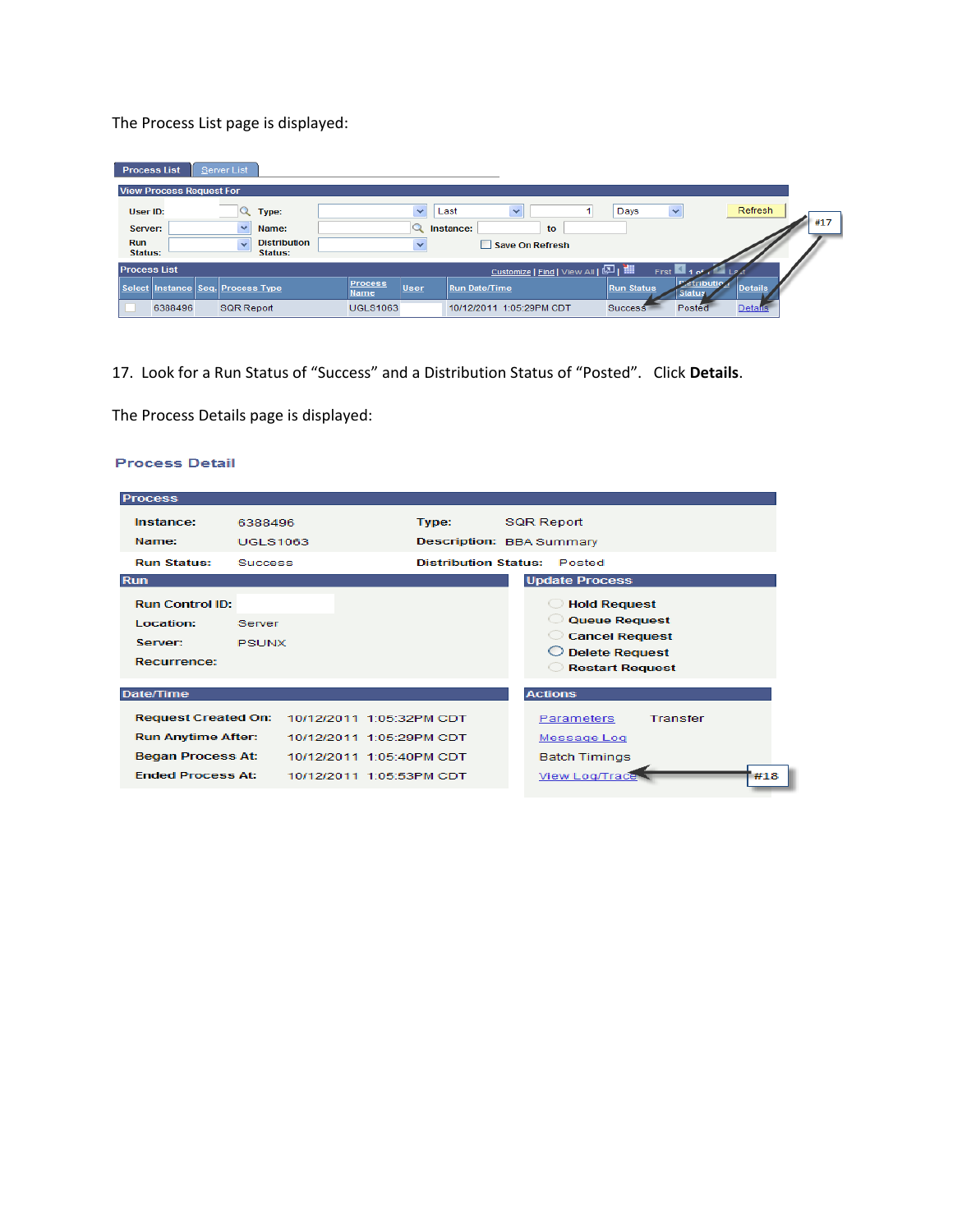The Process List page is displayed:

| Server List<br><b>Process List</b>    |                                |                      |                                     |                    |                                       |
|---------------------------------------|--------------------------------|----------------------|-------------------------------------|--------------------|---------------------------------------|
| <b>View Process Request For</b>       |                                |                      |                                     |                    |                                       |
| User ID:<br>Type:                     |                                | $\checkmark$<br>Last | $\checkmark$                        | Days               | Refresh<br>$\checkmark$               |
| $\checkmark$<br>Name:<br>Server:      |                                | Instance:            | to                                  |                    | #17                                   |
| <b>Run</b><br>$\checkmark$<br>Status: | <b>Distribution</b><br>Status: | $\checkmark$         | Save On Refresh                     |                    |                                       |
| <b>Process List</b>                   |                                |                      | Customize   Find   View All   조   翻 | First <sup>1</sup> |                                       |
| Select Instance Seq. Process Type     | <b>Process</b><br>Name         | User                 | <b>Run Date/Time</b>                | <b>Run Status</b>  | stributio<br><b>Details</b><br>Status |
| 6388496<br><b>SQR Report</b>          | <b>UGLS1063</b>                |                      | 10/12/2011 1:05:29PM CDT            | Success            | Posted<br><b>Details</b>              |

17. Look for a Run Status of "Success" and a Distribution Status of "Posted". Click **Details**.

The Process Details page is displayed:

## **Process Detail**

| <b>Process</b>             |                 |                          |                                    |                                                 |                 |     |
|----------------------------|-----------------|--------------------------|------------------------------------|-------------------------------------------------|-----------------|-----|
| Instance:                  | 6388496         |                          | Type:                              | <b>SQR Report</b>                               |                 |     |
| Name:                      | <b>UGLS1063</b> |                          | <b>Description: BBA Summary</b>    |                                                 |                 |     |
| <b>Run Status:</b>         | <b>Success</b>  |                          | <b>Distribution Status: Posted</b> |                                                 |                 |     |
| <b>Run</b>                 |                 |                          |                                    | <b>Update Process</b>                           |                 |     |
| <b>Run Control ID:</b>     |                 |                          |                                    | <b>Hold Request</b>                             |                 |     |
| Location:                  | Server          |                          |                                    | <b>Queue Request</b>                            |                 |     |
| Server:                    | <b>PSUNX</b>    |                          |                                    | <b>Cancel Request</b>                           |                 |     |
| Recurrence:                |                 |                          |                                    | <b>Delete Request</b><br><b>Restart Request</b> |                 |     |
| <b>Date/Time</b>           |                 |                          |                                    | <b>Actions</b>                                  |                 |     |
| <b>Request Created On:</b> |                 | 10/12/2011 1:05:32PM CDT |                                    | Parameters                                      | <b>Transfer</b> |     |
| <b>Run Anytime After:</b>  |                 | 10/12/2011 1:05:29PM CDT |                                    | Message Log                                     |                 |     |
| <b>Began Process At:</b>   |                 | 10/12/2011 1:05:40PM CDT |                                    | <b>Batch Timings</b>                            |                 |     |
| <b>Ended Process At:</b>   |                 | 10/12/2011 1:05:53PM CDT |                                    | <b>View Log/Trace</b>                           |                 | #18 |
|                            |                 |                          |                                    |                                                 |                 |     |